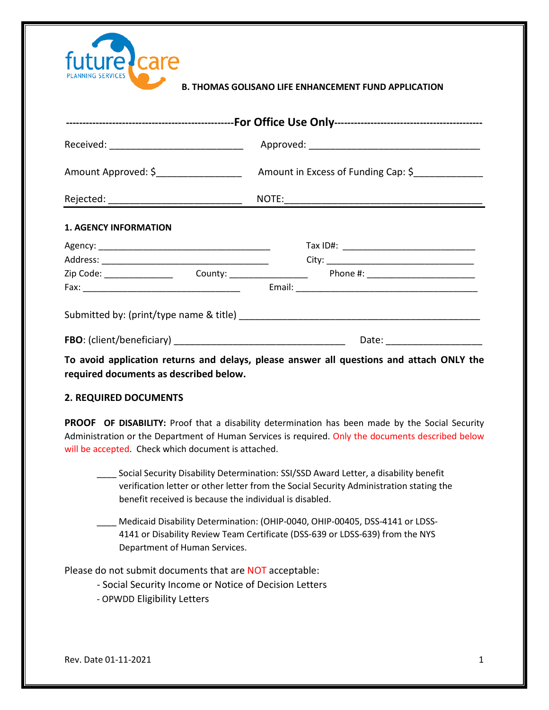| future care              |         |
|--------------------------|---------|
| <b>PLANNING SERVICES</b> | . ΤΗΟΜΑ |

## **S GOLISANO LIFE ENHANCEMENT FUND APPLICATION**

| Received: ________________________________ |                                     |  |  |  |  |
|--------------------------------------------|-------------------------------------|--|--|--|--|
| Amount Approved: \$__________________      | Amount in Excess of Funding Cap: \$ |  |  |  |  |
|                                            |                                     |  |  |  |  |
| <b>1. AGENCY INFORMATION</b>               |                                     |  |  |  |  |
|                                            |                                     |  |  |  |  |
|                                            |                                     |  |  |  |  |
|                                            |                                     |  |  |  |  |
|                                            |                                     |  |  |  |  |
|                                            |                                     |  |  |  |  |
|                                            | Date: ______________________        |  |  |  |  |

**To avoid application returns and delays, please answer all questions and attach ONLY the required documents as described below.**

## **2. REQUIRED DOCUMENTS**

**PROOF OF DISABILITY:** Proof that a disability determination has been made by the Social Security Administration or the Department of Human Services is required. Only the documents described below will be accepted. Check which document is attached.

- \_\_\_\_ Social Security Disability Determination: SSI/SSD Award Letter, a disability benefit verification letter or other letter from the Social Security Administration stating the benefit received is because the individual is disabled.
- Medicaid Disability Determination: (OHIP-0040, OHIP-00405, DSS-4141 or LDSS- 4141 or Disability Review Team Certificate (DSS-639 or LDSS-639) from the NYS Department of Human Services.

Please do not submit documents that are NOT acceptable:

- Social Security Income or Notice of Decision Letters
- OPWDD Eligibility Letters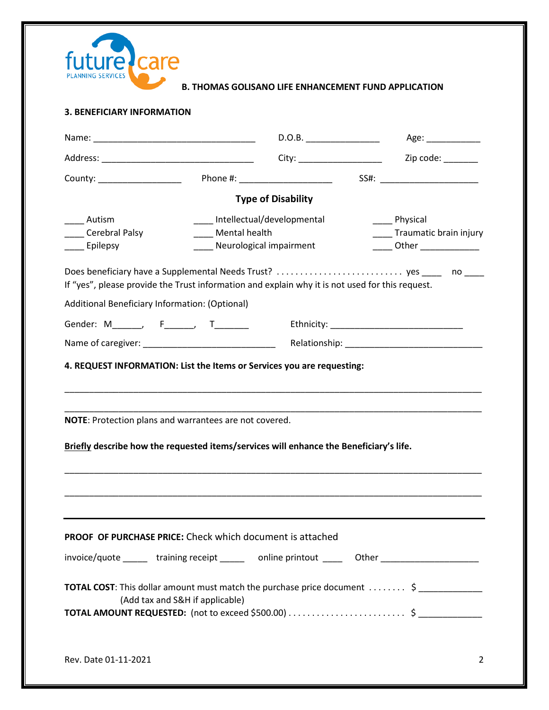

#### **3. BENEFICIARY INFORMATION**

|                                                                                                                                                  |                                 | D.O.B.                                  | Age: ______________                                                                         |
|--------------------------------------------------------------------------------------------------------------------------------------------------|---------------------------------|-----------------------------------------|---------------------------------------------------------------------------------------------|
|                                                                                                                                                  |                                 |                                         | Zip code: _______                                                                           |
| County: _________________                                                                                                                        |                                 | Phone #: ______________________         |                                                                                             |
|                                                                                                                                                  |                                 | <b>Type of Disability</b>               |                                                                                             |
| ____ Autism                                                                                                                                      | Intellectual/developmental      |                                         | _____ Physical                                                                              |
| Cerebral Palsy                                                                                                                                   |                                 | Mental health<br>Traumatic brain injury |                                                                                             |
| ____ Epilepsy                                                                                                                                    | ___ Neurological impairment     |                                         |                                                                                             |
| If "yes", please provide the Trust information and explain why it is not used for this request.                                                  |                                 |                                         |                                                                                             |
| Additional Beneficiary Information: (Optional)                                                                                                   |                                 |                                         |                                                                                             |
|                                                                                                                                                  |                                 |                                         |                                                                                             |
| Gender: M_______, F______, T_______                                                                                                              |                                 |                                         |                                                                                             |
|                                                                                                                                                  |                                 |                                         |                                                                                             |
| NOTE: Protection plans and warrantees are not covered.<br>Briefly describe how the requested items/services will enhance the Beneficiary's life. |                                 |                                         |                                                                                             |
| <b>PROOF OF PURCHASE PRICE:</b> Check which document is attached                                                                                 |                                 |                                         |                                                                                             |
|                                                                                                                                                  |                                 |                                         | invoice/quote ______ training receipt ______ online printout _____ Other __________________ |
|                                                                                                                                                  | (Add tax and S&H if applicable) |                                         | <b>TOTAL COST</b> : This dollar amount must match the purchase price document  \$           |
| Rev. Date 01-11-2021                                                                                                                             |                                 |                                         | 2                                                                                           |